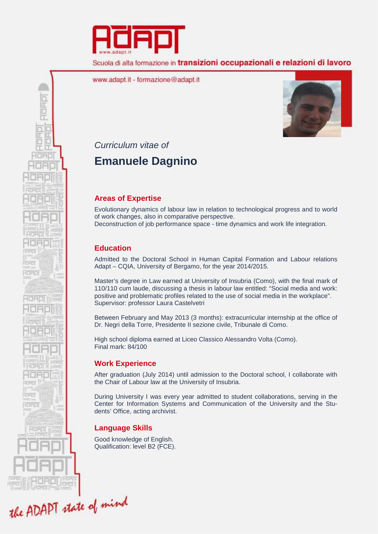

Scuola di alta formazione in transizioni occupazionali e relazioni di lavoro

www.adapt.it - formazione@adapt.it



*Curriculum vitae of*

PORT

0<br>5<br>0

地带面

**TORO** 

# **Emanuele Dagnino**

# **Areas of Expertise**

Evolutionary dynamics of labour law in relation to technological progress and to world of work changes, also in comparative perspective. Deconstruction of job performance space - time dynamics and work life integration.

## **Education**

Admitted to the Doctoral School in Human Capital Formation and Labour relations Adapt – CQIA, University of Bergamo, for the year 2014/2015.

Master's degree in Law earned at University of Insubria (Como), with the final mark of 110/110 cum laude, discussing a thesis in labour law entitled: "Social media and work: positive and problematic profiles related to the use of social media in the workplace". Supervisor: professor Laura Castelvetri

Between February and May 2013 (3 months): extracurricular internship at the office of Dr. Negri della Torre, Presidente II sezione civile, Tribunale di Como.

High school diploma earned at Liceo Classico Alessandro Volta (Como). Final mark: 84/100

# **Work Experience**

After graduation (July 2014) until admission to the Doctoral school, I collaborate with the Chair of Labour law at the University of Insubria.

During University I was every year admitted to student collaborations, serving in the Center for Information Systems and Communication of the University and the Students' Office, acting archivist.

# **Language Skills**

Good knowledge of English. Qualification: level B2 (FCE).

the ADAPT state of mind